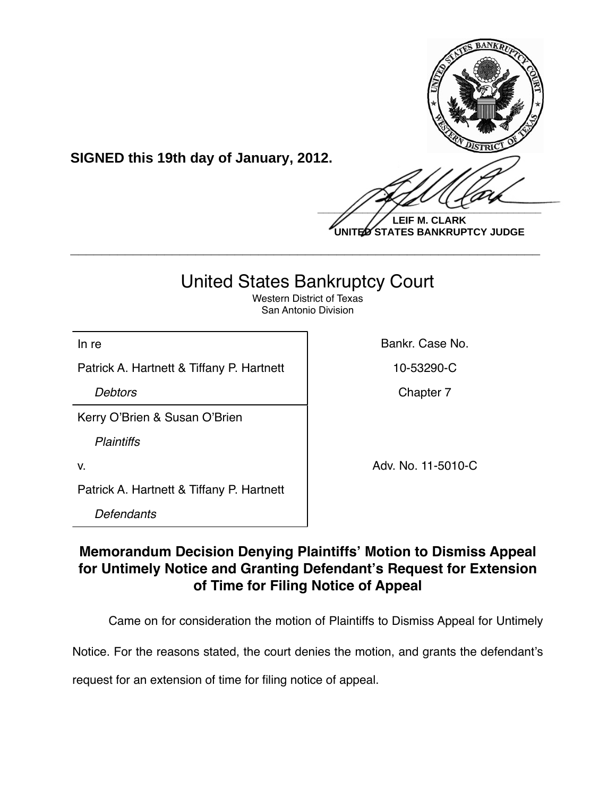

**LEIF M. CLARK UNITED STATES BANKRUPTCY JUDGE**

# United States Bankruptcy Court

**\_\_\_\_\_\_\_\_\_\_\_\_\_\_\_\_\_\_\_\_\_\_\_\_\_\_\_\_\_\_\_\_\_\_\_\_\_\_\_\_\_\_\_\_\_\_\_\_\_\_\_\_\_\_\_\_\_\_\_\_**

Western District of Texas San Antonio Division

In re **Bankr.** Case No.

Patrick A. Hartnett & Tiffany P. Hartnett | 10-53290-C

**SIGNED this 19th day of January, 2012.**

**Debtors** Chapter 7

Kerry O'Brien & Susan O'Brien

*Plaintiffs*

v. 2010-00-2010-00-2010-00-2010-00-2010-00-2010-00-2010-00-2010-00-2010-00-2010-00-2010-00-2010-00-2010-00-20

Patrick A. Hartnett & Tiffany P. Hartnett

*Defendants*

## **Memorandum Decision Denying Plaintiffs' Motion to Dismiss Appeal for Untimely Notice and Granting Defendant's Request for Extension of Time for Filing Notice of Appeal**

Came on for consideration the motion of Plaintiffs to Dismiss Appeal for Untimely

Notice. For the reasons stated, the court denies the motion, and grants the defendant's

request for an extension of time for filing notice of appeal.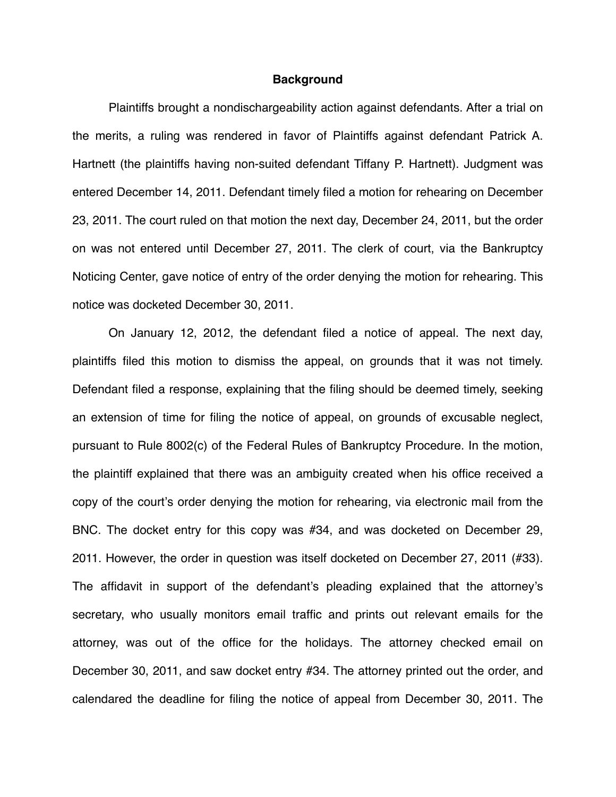#### **Background**

Plaintiffs brought a nondischargeability action against defendants. After a trial on the merits, a ruling was rendered in favor of Plaintiffs against defendant Patrick A. Hartnett (the plaintiffs having non-suited defendant Tiffany P. Hartnett). Judgment was entered December 14, 2011. Defendant timely filed a motion for rehearing on December 23, 2011. The court ruled on that motion the next day, December 24, 2011, but the order on was not entered until December 27, 2011. The clerk of court, via the Bankruptcy Noticing Center, gave notice of entry of the order denying the motion for rehearing. This notice was docketed December 30, 2011.

On January 12, 2012, the defendant filed a notice of appeal. The next day, plaintiffs filed this motion to dismiss the appeal, on grounds that it was not timely. Defendant filed a response, explaining that the filing should be deemed timely, seeking an extension of time for filing the notice of appeal, on grounds of excusable neglect, pursuant to Rule 8002(c) of the Federal Rules of Bankruptcy Procedure. In the motion, the plaintiff explained that there was an ambiguity created when his office received a copy of the court's order denying the motion for rehearing, via electronic mail from the BNC. The docket entry for this copy was #34, and was docketed on December 29, 2011. However, the order in question was itself docketed on December 27, 2011 (#33). The affidavit in support of the defendant's pleading explained that the attorney's secretary, who usually monitors email traffic and prints out relevant emails for the attorney, was out of the office for the holidays. The attorney checked email on December 30, 2011, and saw docket entry #34. The attorney printed out the order, and calendared the deadline for filing the notice of appeal from December 30, 2011. The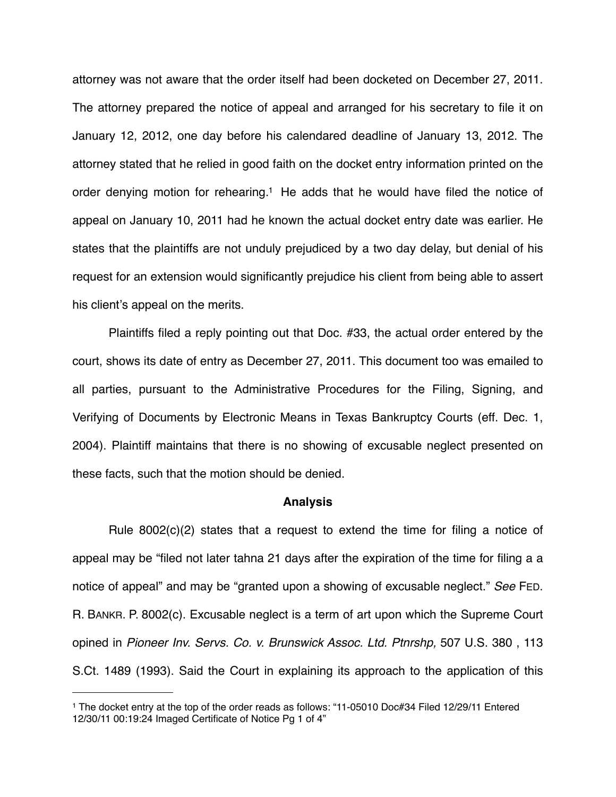attorney was not aware that the order itself had been docketed on December 27, 2011. The attorney prepared the notice of appeal and arranged for his secretary to file it on January 12, 2012, one day before his calendared deadline of January 13, 2012. The attorney stated that he relied in good faith on the docket entry information printed on the order denying motion for rehearing[.1](#page-2-0) He adds that he would have filed the notice of appeal on January 10, 2011 had he known the actual docket entry date was earlier. He states that the plaintiffs are not unduly prejudiced by a two day delay, but denial of his request for an extension would significantly prejudice his client from being able to assert his client's appeal on the merits.

Plaintiffs filed a reply pointing out that Doc. #33, the actual order entered by the court, shows its date of entry as December 27, 2011. This document too was emailed to all parties, pursuant to the Administrative Procedures for the Filing, Signing, and Verifying of Documents by Electronic Means in Texas Bankruptcy Courts (eff. Dec. 1, 2004). Plaintiff maintains that there is no showing of excusable neglect presented on these facts, such that the motion should be denied.

#### **Analysis**

Rule 8002(c)(2) states that a request to extend the time for filing a notice of appeal may be "filed not later tahna 21 days after the expiration of the time for filing a a notice of appeal" and may be "granted upon a showing of excusable neglect." *See* FED. R. BANKR. P. 8002(c). Excusable neglect is a term of art upon which the Supreme Court opined in *Pioneer Inv. Servs. Co. v. Brunswick Assoc. Ltd. Ptnrshp,* 507 U.S. 380 , 113 S.Ct. 1489 (1993). Said the Court in explaining its approach to the application of this

<span id="page-2-0"></span><sup>1</sup> The docket entry at the top of the order reads as follows: "11-05010 Doc#34 Filed 12/29/11 Entered 12/30/11 00:19:24 Imaged Certificate of Notice Pg 1 of 4"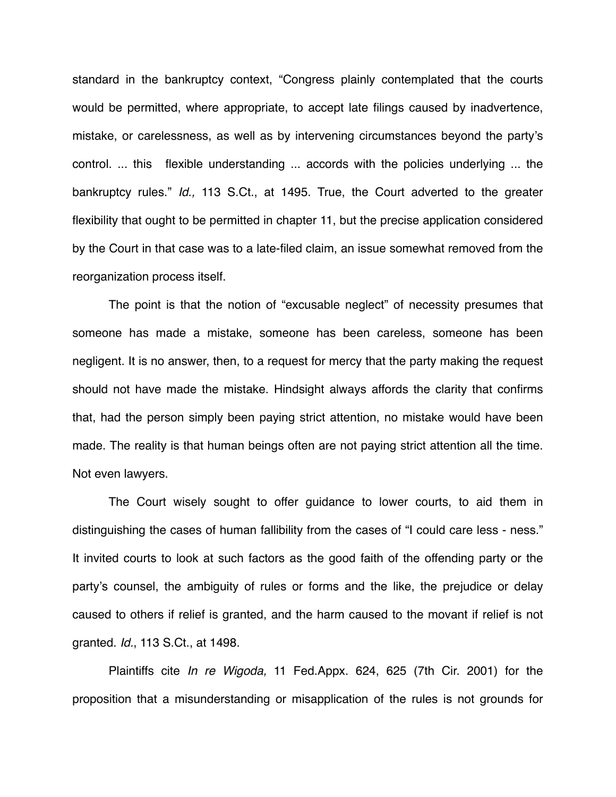standard in the bankruptcy context, "Congress plainly contemplated that the courts would be permitted, where appropriate, to accept late filings caused by inadvertence, mistake, or carelessness, as well as by intervening circumstances beyond the party's control. ... this flexible understanding ... accords with the policies underlying ... the bankruptcy rules." *Id.,* 113 S.Ct., at 1495. True, the Court adverted to the greater flexibility that ought to be permitted in chapter 11, but the precise application considered by the Court in that case was to a late-filed claim, an issue somewhat removed from the reorganization process itself.

The point is that the notion of "excusable neglect" of necessity presumes that someone has made a mistake, someone has been careless, someone has been negligent. It is no answer, then, to a request for mercy that the party making the request should not have made the mistake. Hindsight always affords the clarity that confirms that, had the person simply been paying strict attention, no mistake would have been made. The reality is that human beings often are not paying strict attention all the time. Not even lawyers.

The Court wisely sought to offer guidance to lower courts, to aid them in distinguishing the cases of human fallibility from the cases of "I could care less - ness." It invited courts to look at such factors as the good faith of the offending party or the party's counsel, the ambiguity of rules or forms and the like, the prejudice or delay caused to others if relief is granted, and the harm caused to the movant if relief is not granted. *Id.*, 113 S.Ct., at 1498.

Plaintiffs cite *In re Wigoda,* 11 Fed.Appx. 624, 625 (7th Cir. 2001) for the proposition that a misunderstanding or misapplication of the rules is not grounds for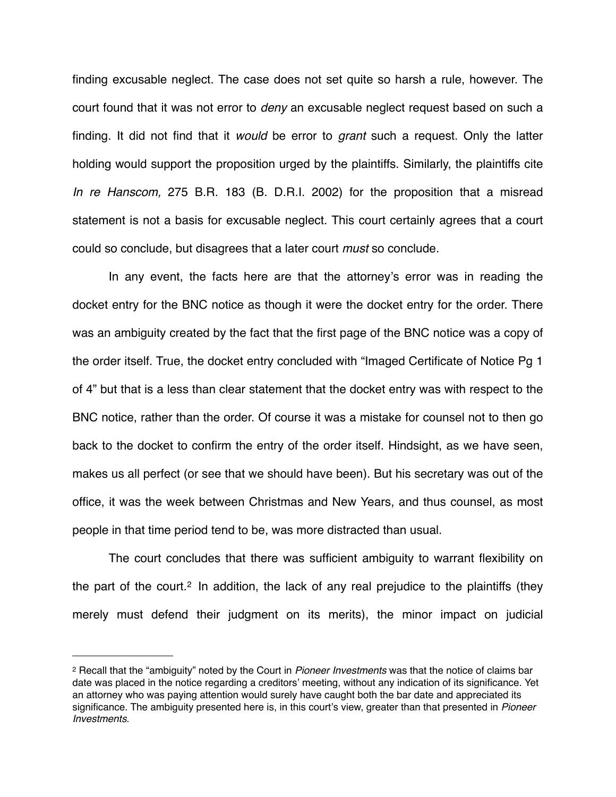finding excusable neglect. The case does not set quite so harsh a rule, however. The court found that it was not error to *deny* an excusable neglect request based on such a finding. It did not find that it *would* be error to *grant* such a request. Only the latter holding would support the proposition urged by the plaintiffs. Similarly, the plaintiffs cite *In re Hanscom,* 275 B.R. 183 (B. D.R.I. 2002) for the proposition that a misread statement is not a basis for excusable neglect. This court certainly agrees that a court could so conclude, but disagrees that a later court *must* so conclude.

In any event, the facts here are that the attorney's error was in reading the docket entry for the BNC notice as though it were the docket entry for the order. There was an ambiguity created by the fact that the first page of the BNC notice was a copy of the order itself. True, the docket entry concluded with "Imaged Certificate of Notice Pg 1 of 4" but that is a less than clear statement that the docket entry was with respect to the BNC notice, rather than the order. Of course it was a mistake for counsel not to then go back to the docket to confirm the entry of the order itself. Hindsight, as we have seen, makes us all perfect (or see that we should have been). But his secretary was out of the office, it was the week between Christmas and New Years, and thus counsel, as most people in that time period tend to be, was more distracted than usual.

The court concludes that there was sufficient ambiguity to warrant flexibility on the part of the court.<sup>[2](#page-4-0)</sup> In addition, the lack of any real prejudice to the plaintiffs (they merely must defend their judgment on its merits), the minor impact on judicial

<span id="page-4-0"></span><sup>2</sup> Recall that the "ambiguity" noted by the Court in *Pioneer Investments* was that the notice of claims bar date was placed in the notice regarding a creditors' meeting, without any indication of its significance. Yet an attorney who was paying attention would surely have caught both the bar date and appreciated its significance. The ambiguity presented here is, in this court's view, greater than that presented in *Pioneer Investments*.